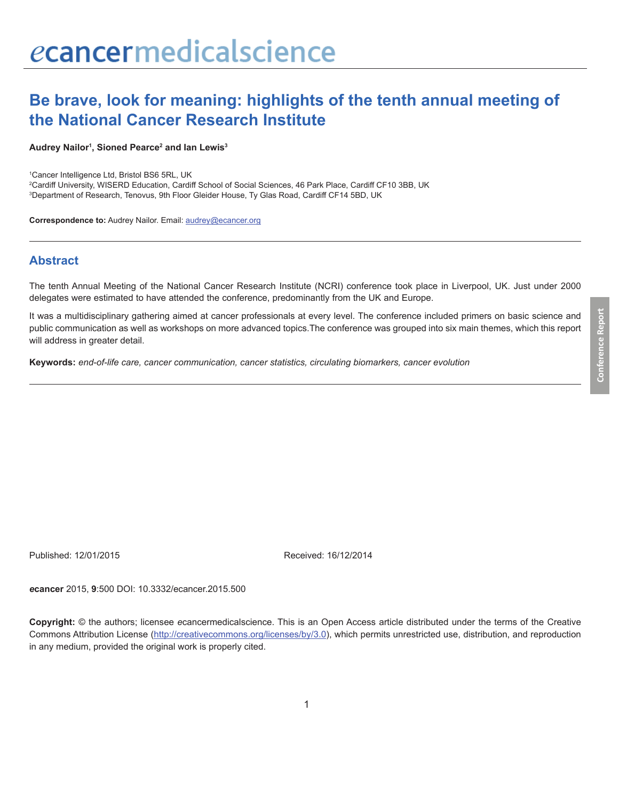# **Be brave, look for meaning: highlights of the tenth annual meeting of the National Cancer Research Institute**

#### **Audrey Nailor1 , Sioned Pearce2 and Ian Lewis3**

1 Cancer Intelligence Ltd, Bristol BS6 5RL, UK

2 Cardiff University, WISERD Education, Cardiff School of Social Sciences, 46 Park Place, Cardiff CF10 3BB, UK 3 Department of Research, Tenovus, 9th Floor Gleider House, Ty Glas Road, Cardiff CF14 5BD, UK

**Correspondence to:** Audrey Nailor. Email: audrey@ecancer.org

#### **Abstract**

The tenth Annual Meeting of the National Cancer Research Institute (NCRI) conference took place in Liverpool, UK. Just under 2000 delegates were estimated to have attended the conference, predominantly from the UK and Europe.

It was a multidisciplinary gathering aimed at cancer professionals at every level. The conference included primers on basic science and public communication as well as workshops on more advanced topics.The conference was grouped into six main themes, which this report will address in greater detail.

**Keywords:** *end-of-life care, cancer communication, cancer statistics, circulating biomarkers, cancer evolution*

Published: 12/01/2015 Received: 16/12/2014

*e***cancer** 2015, **9**:500 DOI: 10.3332/ecancer.2015.500

**Copyright:** © the authors; licensee *e*cancermedicalscience. This is an Open Access article distributed under the terms of the Creative Commons Attribution License (http://creativecommons.org/licenses/by/3.0), which permits unrestricted use, distribution, and reproduction in any medium, provided the original work is properly cited.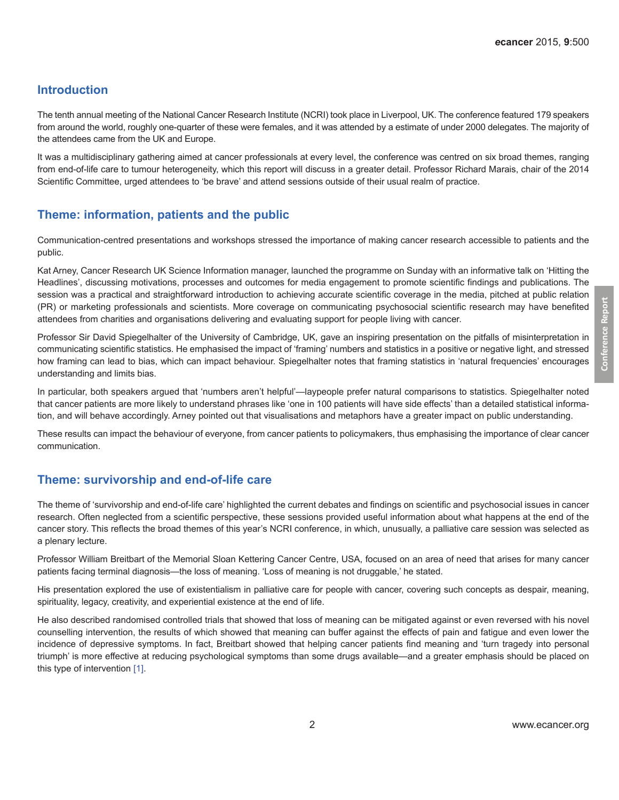### **Introduction**

The tenth annual meeting of the National Cancer Research Institute (NCRI) took place in Liverpool, UK. The conference featured 179 speakers from around the world, roughly one-quarter of these were females, and it was attended by a estimate of under 2000 delegates. The majority of the attendees came from the UK and Europe.

It was a multidisciplinary gathering aimed at cancer professionals at every level, the conference was centred on six broad themes, ranging from end-of-life care to tumour heterogeneity, which this report will discuss in a greater detail. Professor Richard Marais, chair of the 2014 Scientific Committee, urged attendees to 'be brave' and attend sessions outside of their usual realm of practice.

# **Theme: information, patients and the public**

Communication-centred presentations and workshops stressed the importance of making cancer research accessible to patients and the public.

Kat Arney, Cancer Research UK Science Information manager, launched the programme on Sunday with an informative talk on 'Hitting the Headlines', discussing motivations, processes and outcomes for media engagement to promote scientific findings and publications. The session was a practical and straightforward introduction to achieving accurate scientific coverage in the media, pitched at public relation (PR) or marketing professionals and scientists. More coverage on communicating psychosocial scientific research may have benefited attendees from charities and organisations delivering and evaluating support for people living with cancer.

Professor Sir David Spiegelhalter of the University of Cambridge, UK, gave an inspiring presentation on the pitfalls of misinterpretation in communicating scientific statistics. He emphasised the impact of 'framing' numbers and statistics in a positive or negative light, and stressed how framing can lead to bias, which can impact behaviour. Spiegelhalter notes that framing statistics in 'natural frequencies' encourages understanding and limits bias.

In particular, both speakers argued that 'numbers aren't helpful'—laypeople prefer natural comparisons to statistics. Spiegelhalter noted that cancer patients are more likely to understand phrases like 'one in 100 patients will have side effects' than a detailed statistical information, and will behave accordingly. Arney pointed out that visualisations and metaphors have a greater impact on public understanding.

These results can impact the behaviour of everyone, from cancer patients to policymakers, thus emphasising the importance of clear cancer communication.

# **Theme: survivorship and end-of-life care**

The theme of 'survivorship and end-of-life care' highlighted the current debates and findings on scientific and psychosocial issues in cancer research. Often neglected from a scientific perspective, these sessions provided useful information about what happens at the end of the cancer story. This reflects the broad themes of this year's NCRI conference, in which, unusually, a palliative care session was selected as a plenary lecture.

Professor William Breitbart of the Memorial Sloan Kettering Cancer Centre, USA, focused on an area of need that arises for many cancer patients facing terminal diagnosis—the loss of meaning. 'Loss of meaning is not druggable,' he stated.

His presentation explored the use of existentialism in palliative care for people with cancer, covering such concepts as despair, meaning, spirituality, legacy, creativity, and experiential existence at the end of life.

He also described randomised controlled trials that showed that loss of meaning can be mitigated against or even reversed with his novel counselling intervention, the results of which showed that meaning can buffer against the effects of pain and fatigue and even lower the incidence of depressive symptoms. In fact, Breitbart showed that helping cancer patients find meaning and 'turn tragedy into personal triumph' is more effective at reducing psychological symptoms than some drugs available—and a greater emphasis should be placed on this type of intervention [\[1\]](#page-5-0).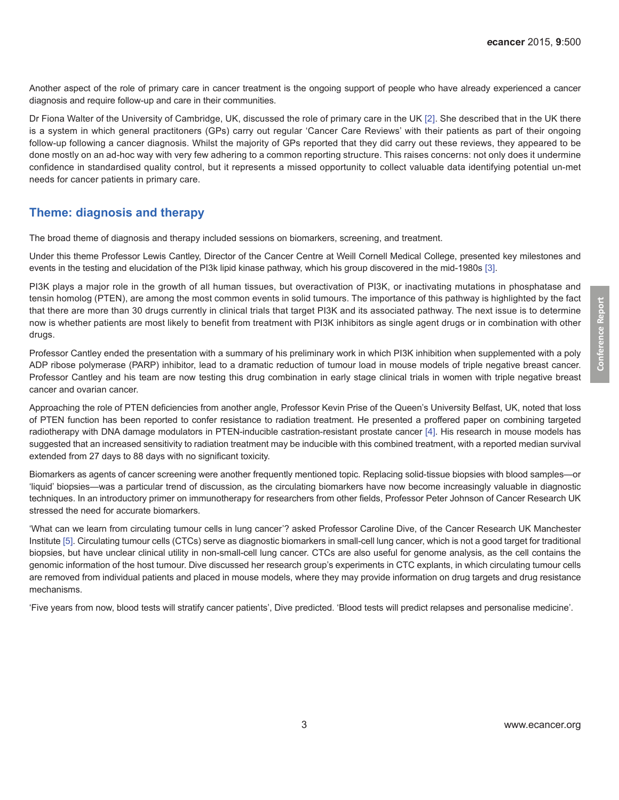Another aspect of the role of primary care in cancer treatment is the ongoing support of people who have already experienced a cancer diagnosis and require follow-up and care in their communities.

Dr Fiona Walter of the University of Cambridge, UK, discussed the role of primary care in the UK [\[2\]](#page-5-0). She described that in the UK there is a system in which general practitoners (GPs) carry out regular 'Cancer Care Reviews' with their patients as part of their ongoing follow-up following a cancer diagnosis. Whilst the majority of GPs reported that they did carry out these reviews, they appeared to be done mostly on an ad-hoc way with very few adhering to a common reporting structure. This raises concerns: not only does it undermine confidence in standardised quality control, but it represents a missed opportunity to collect valuable data identifying potential un-met needs for cancer patients in primary care.

# **Theme: diagnosis and therapy**

The broad theme of diagnosis and therapy included sessions on biomarkers, screening, and treatment.

Under this theme Professor Lewis Cantley, Director of the Cancer Centre at Weill Cornell Medical College, presented key milestones and events in the testing and elucidation of the PI3k lipid kinase pathway, which his group discovered in the mid-1980s [\[3\].](#page-5-0)

PI3K plays a major role in the growth of all human tissues, but overactivation of PI3K, or inactivating mutations in phosphatase and tensin homolog (PTEN), are among the most common events in solid tumours. The importance of this pathway is highlighted by the fact that there are more than 30 drugs currently in clinical trials that target PI3K and its associated pathway. The next issue is to determine now is whether patients are most likely to benefit from treatment with PI3K inhibitors as single agent drugs or in combination with other drugs.

Professor Cantley ended the presentation with a summary of his preliminary work in which PI3K inhibition when supplemented with a poly ADP ribose polymerase (PARP) inhibitor, lead to a dramatic reduction of tumour load in mouse models of triple negative breast cancer. Professor Cantley and his team are now testing this drug combination in early stage clinical trials in women with triple negative breast cancer and ovarian cancer.

Approaching the role of PTEN deficiencies from another angle, Professor Kevin Prise of the Queen's University Belfast, UK, noted that loss of PTEN function has been reported to confer resistance to radiation treatment. He presented a proffered paper on combining targeted radiotherapy with DNA damage modulators in PTEN-inducible castration-resistant prostate cancer [\[4\].](#page-5-0) His research in mouse models has suggested that an increased sensitivity to radiation treatment may be inducible with this combined treatment, with a reported median survival extended from 27 days to 88 days with no significant toxicity.

Biomarkers as agents of cancer screening were another frequently mentioned topic. Replacing solid-tissue biopsies with blood samples—or 'liquid' biopsies—was a particular trend of discussion, as the circulating biomarkers have now become increasingly valuable in diagnostic techniques. In an introductory primer on immunotherapy for researchers from other fields, Professor Peter Johnson of Cancer Research UK stressed the need for accurate biomarkers.

'What can we learn from circulating tumour cells in lung cancer'? asked Professor Caroline Dive, of the Cancer Research UK Manchester Institute [\[5\]](#page-5-0). Circulating tumour cells (CTCs) serve as diagnostic biomarkers in small-cell lung cancer, which is not a good target for traditional biopsies, but have unclear clinical utility in non-small-cell lung cancer. CTCs are also useful for genome analysis, as the cell contains the genomic information of the host tumour. Dive discussed her research group's experiments in CTC explants, in which circulating tumour cells are removed from individual patients and placed in mouse models, where they may provide information on drug targets and drug resistance mechanisms.

'Five years from now, blood tests will stratify cancer patients', Dive predicted. 'Blood tests will predict relapses and personalise medicine'.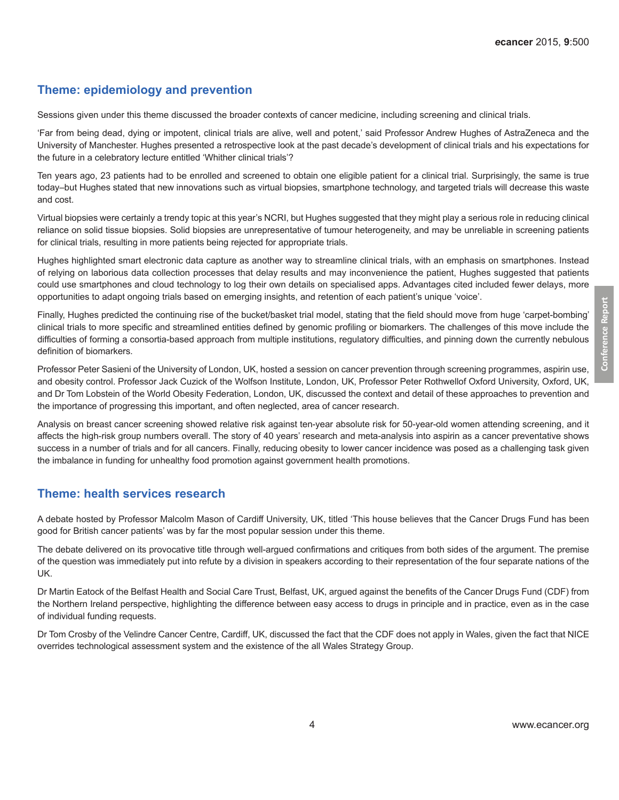### **Theme: epidemiology and prevention**

Sessions given under this theme discussed the broader contexts of cancer medicine, including screening and clinical trials.

'Far from being dead, dying or impotent, clinical trials are alive, well and potent,' said Professor Andrew Hughes of AstraZeneca and the University of Manchester. Hughes presented a retrospective look at the past decade's development of clinical trials and his expectations for the future in a celebratory lecture entitled 'Whither clinical trials'?

Ten years ago, 23 patients had to be enrolled and screened to obtain one eligible patient for a clinical trial. Surprisingly, the same is true today–but Hughes stated that new innovations such as virtual biopsies, smartphone technology, and targeted trials will decrease this waste and cost.

Virtual biopsies were certainly a trendy topic at this year's NCRI, but Hughes suggested that they might play a serious role in reducing clinical reliance on solid tissue biopsies. Solid biopsies are unrepresentative of tumour heterogeneity, and may be unreliable in screening patients for clinical trials, resulting in more patients being rejected for appropriate trials.

Hughes highlighted smart electronic data capture as another way to streamline clinical trials, with an emphasis on smartphones. Instead of relying on laborious data collection processes that delay results and may inconvenience the patient, Hughes suggested that patients could use smartphones and cloud technology to log their own details on specialised apps. Advantages cited included fewer delays, more opportunities to adapt ongoing trials based on emerging insights, and retention of each patient's unique 'voice'.

Finally, Hughes predicted the continuing rise of the bucket/basket trial model, stating that the field should move from huge 'carpet-bombing' clinical trials to more specific and streamlined entities defined by genomic profiling or biomarkers. The challenges of this move include the difficulties of forming a consortia-based approach from multiple institutions, regulatory difficulties, and pinning down the currently nebulous definition of biomarkers.

Professor Peter Sasieni of the University of London, UK, hosted a session on cancer prevention through screening programmes, aspirin use, and obesity control. Professor Jack Cuzick of the Wolfson Institute, London, UK, Professor Peter Rothwellof Oxford University, Oxford, UK, and Dr Tom Lobstein of the World Obesity Federation, London, UK, discussed the context and detail of these approaches to prevention and the importance of progressing this important, and often neglected, area of cancer research.

Analysis on breast cancer screening showed relative risk against ten-year absolute risk for 50-year-old women attending screening, and it affects the high-risk group numbers overall. The story of 40 years' research and meta-analysis into aspirin as a cancer preventative shows success in a number of trials and for all cancers. Finally, reducing obesity to lower cancer incidence was posed as a challenging task given the imbalance in funding for unhealthy food promotion against government health promotions.

#### **Theme: health services research**

A debate hosted by Professor Malcolm Mason of Cardiff University, UK, titled 'This house believes that the Cancer Drugs Fund has been good for British cancer patients' was by far the most popular session under this theme.

The debate delivered on its provocative title through well-argued confirmations and critiques from both sides of the argument. The premise of the question was immediately put into refute by a division in speakers according to their representation of the four separate nations of the UK.

Dr Martin Eatock of the Belfast Health and Social Care Trust, Belfast, UK, argued against the benefits of the Cancer Drugs Fund (CDF) from the Northern Ireland perspective, highlighting the difference between easy access to drugs in principle and in practice, even as in the case of individual funding requests.

Dr Tom Crosby of the Velindre Cancer Centre, Cardiff, UK, discussed the fact that the CDF does not apply in Wales, given the fact that NICE overrides technological assessment system and the existence of the all Wales Strategy Group.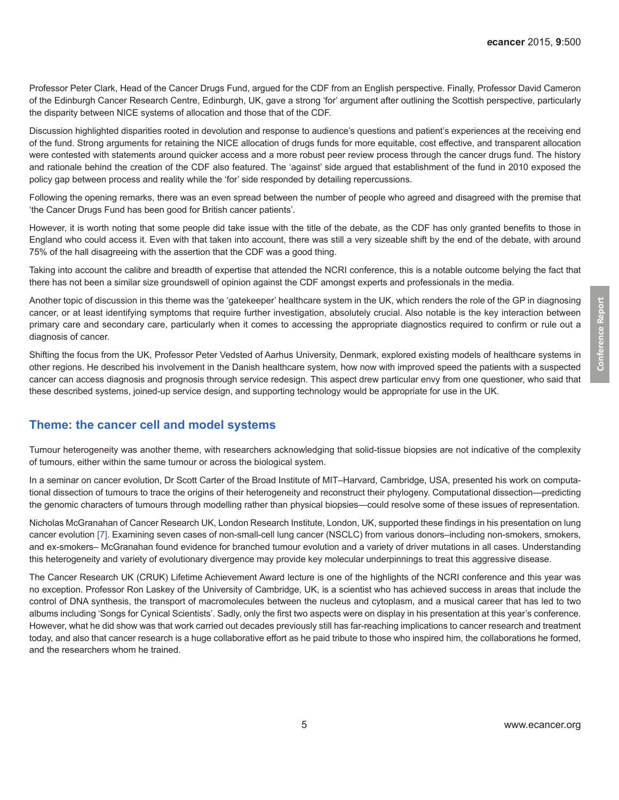Professor Peter Clark, Head of the Cancer Drugs Fund, argued for the CDF from an English perspective. Finally, Professor David Cameron of the Edinburgh Cancer Research Centre, Edinburgh, UK, gave a strong 'for' argument after outlining the Scottish perspective, particularly the disparity between NICE systems of allocation and those that of the CDF.

Discussion highlighted disparities rooted in devolution and response to audience's questions and patient's experiences at the receiving end of the fund. Strong arguments for retaining the NICE allocation of drugs funds for more equitable, cost effective, and transparent allocation were contested with statements around quicker access and a more robust peer review process through the cancer drugs fund. The history and rationale behind the creation of the CDF also featured. The 'against' side argued that establishment of the fund in 2010 exposed the policy gap between process and reality while the 'for' side responded by detailing repercussions.

Following the opening remarks, there was an even spread between the number of people who agreed and disagreed with the premise that 'the Cancer Drugs Fund has been good for British cancer patients'.

However, it is worth noting that some people did take issue with the title of the debate, as the CDF has only granted benefits to those in England who could access it. Even with that taken into account, there was still a very sizeable shift by the end of the debate, with around 75% of the hall disagreeing with the assertion that the CDF was a good thing.

Taking into account the calibre and breadth of expertise that attended the NCRI conference, this is a notable outcome belying the fact that there has not been a similar size groundswell of opinion against the CDF amongst experts and professionals in the media.

Another topic of discussion in this theme was the 'gatekeeper' healthcare system in the UK, which renders the role of the GP in diagnosing cancer, or at least identifying symptoms that require further investigation, absolutely crucial. Also notable is the key interaction between primary care and secondary care, particularly when it comes to accessing the appropriate diagnostics required to confirm or rule out a diagnosis of cancer.

Shifting the focus from the UK, Professor Peter Vedsted of Aarhus University, Denmark, explored existing models of healthcare systems in other regions. He described his involvement in the Danish healthcare system, how now with improved speed the patients with a suspected cancer can access diagnosis and prognosis through service redesign. This aspect drew particular envy from one questioner, who said that these described systems, joined-up service design, and supporting technology would be appropriate for use in the UK.

#### **Theme: the cancer cell and model systems**

Tumour heterogeneity was another theme, with researchers acknowledging that solid-tissue biopsies are not indicative of the complexity of tumours, either within the same tumour or across the biological system.

In a seminar on cancer evolution, Dr Scott Carter of the Broad Institute of MIT–Harvard, Cambridge, USA, presented his work on computational dissection of tumours to trace the origins of their heterogeneity and reconstruct their phylogeny. Computational dissection—predicting the genomic characters of tumours through modelling rather than physical biopsies—could resolve some of these issues of representation.

Nicholas McGranahan of Cancer Research UK, London Research Institute, London, UK, supported these findings in his presentation on lung cancer evolution [\[7\]](#page-5-0). Examining seven cases of non-small-cell lung cancer (NSCLC) from various donors–including non-smokers, smokers, and ex-smokers– McGranahan found evidence for branched tumour evolution and a variety of driver mutations in all cases. Understanding this heterogeneity and variety of evolutionary divergence may provide key molecular underpinnings to treat this aggressive disease.

The Cancer Research UK (CRUK) Lifetime Achievement Award lecture is one of the highlights of the NCRI conference and this year was no exception. Professor Ron Laskey of the University of Cambridge, UK, is a scientist who has achieved success in areas that include the control of DNA synthesis, the transport of macromolecules between the nucleus and cytoplasm, and a musical career that has led to two albums including 'Songs for Cynical Scientists'. Sadly, only the first two aspects were on display in his presentation at this year's conference. However, what he did show was that work carried out decades previously still has far-reaching implications to cancer research and treatment today, and also that cancer research is a huge collaborative effort as he paid tribute to those who inspired him, the collaborations he formed, and the researchers whom he trained.